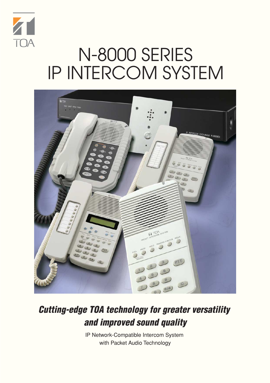

# N-8000 SERIES IP INTERCOM SYSTEM



# **Cutting-edge TOA technology for greater versatility and improved sound quality**

IP Network-Compatible Intercom System with Packet Audio Technology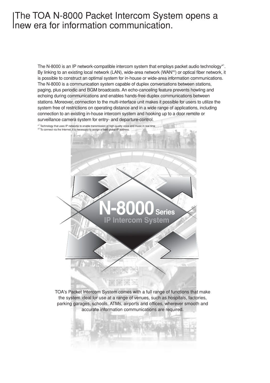## The TOA N-8000 Packet Intercom System opens a new era for information communication.

The N-8000 is an IP network-compatible intercom system that employs packet audio technology\*1 . By linking to an existing local network (LAN), wide-area network (WAN\*2 ) or optical fiber network, it is possible to construct an optimal system for in-house or wide-area information communications. The N-8000 is a communication system capable of duplex conversations between stations, paging, plus periodic and BGM broadcasts. An echo-canceling feature prevents howling and echoing during communications and enables hands-free duplex communications between stations. Moreover, connection to the multi-interface unit makes it possible for users to utilize the system free of restrictions on operating distance and in a wide range of applications, including connection to an existing in-house intercom system and hooking up to a door remote or surveillance camera system for entry- and departure-control.



TOA's Packet Intercom System comes with a full range of functions that make the system ideal for use at a range of venues, such as hospitals, factories, parking garages, schools, ATMs, airports and offices, wherever smooth and accurate information communications are required.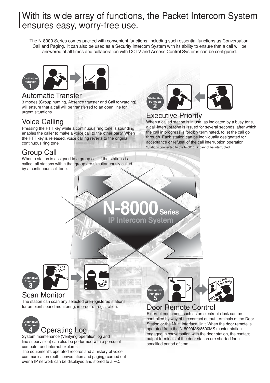## With its wide array of functions, the Packet Intercom System ensures easy, worry-free use.

The N-8000 Series comes packed with convenient functions, including such essential functions as Conversation, Call and Paging. It can also be used as a Security Intercom System with its ability to ensure that a call will be answered at all times and collaboration with CCTV and Access Control Systems can be configured.



#### Automatic Transfer

3 modes (Group hunting, Absence transfer and Call forwarding) will ensure that a call will be transferred to an open line for urgent situations.

### Voice Calling

Pressing the PTT key while a continuous ring tone is sounding enables the caller to make a voice call to the other party. When the PTT key is released, voice calling reverts to the original continuous ring tone.

## Group Call

When a station is assigned to a group call, if the stations is called, all stations within that group are simultaneously called by a continuous call tone.



#### Executive Priority

When a called station is in use, as indicated by a busy tone, a call-interrupt tone is issued for several seconds, after which the call in progress is forcibly terminated, to let the call go through. Each station can be individually designated for acceptance or refusal of the call interruption operation. \*Stations connected to the N-8010EX cannot be interrupted.

**N-8000Series IP Intercom System**





 $\overline{a}$ 

**ng**

#### Scan Monitor

The station can scan any selected pre-registered stations for ambient sound monitoring, in order of registration.



## Operating Log

System maintenance (Verifying operation log and line supervision) can also be performed with a personal computer and internet explorer.

The equipment's operated records and a history of voice communication (both conversation and paging) carried out over a IP network can be displayed and stored to a PC.



## Door Remote Control

External equipment such as an electronic lock can be controlled by way of the contact output terminals of the Door Station or the Multi-Interface Unit. When the door remote is operated from the N-8000MS/8500MS master station engaged in conversation with the door station, the contact output terminals of the door station are shorted for a specified period of time.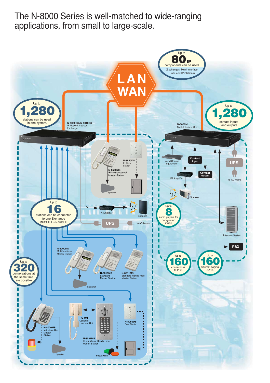The N-8000 Series is well-matched to wide-ranging applications, from small to large-scale.

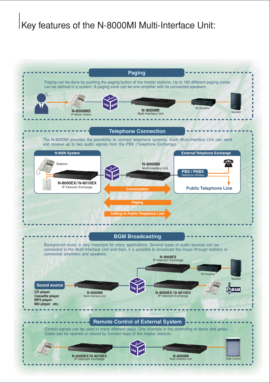# Key features of the N-8000MI Multi-Interface Unit:

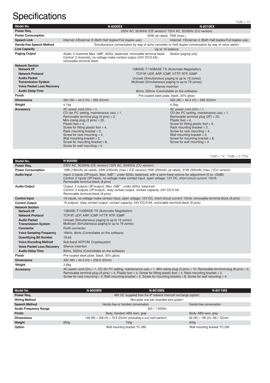# Specifications  $\sum_{\text{1V}}$

|                                                   |                                                                                                                                                                                                                                                                                                                                                                                                                                                         | $-11$                                                                                                                                                                                                                                                                                                                                                                                                       |  |
|---------------------------------------------------|---------------------------------------------------------------------------------------------------------------------------------------------------------------------------------------------------------------------------------------------------------------------------------------------------------------------------------------------------------------------------------------------------------------------------------------------------------|-------------------------------------------------------------------------------------------------------------------------------------------------------------------------------------------------------------------------------------------------------------------------------------------------------------------------------------------------------------------------------------------------------------|--|
| Model No.                                         | <b>N-8000EX</b>                                                                                                                                                                                                                                                                                                                                                                                                                                         | <b>N-8010EX</b>                                                                                                                                                                                                                                                                                                                                                                                             |  |
| Power Reg.                                        |                                                                                                                                                                                                                                                                                                                                                                                                                                                         | 230V AC, 50/60Hz (CE version)/ 120V AC, 50/60Hz (CU version)                                                                                                                                                                                                                                                                                                                                                |  |
| <b>Power Consumption</b>                          | 50W (at rated), 75W (max.)                                                                                                                                                                                                                                                                                                                                                                                                                              |                                                                                                                                                                                                                                                                                                                                                                                                             |  |
| <b>Speech Link</b>                                | Internal: 4/External: 8 (Both Half duplex/Full duplex use)                                                                                                                                                                                                                                                                                                                                                                                              | Internal: 1/External: 2 (Both Half duplex/Full duplex use)                                                                                                                                                                                                                                                                                                                                                  |  |
| <b>Hands-free Speech Method</b>                   |                                                                                                                                                                                                                                                                                                                                                                                                                                                         | Simultaneous conversation by way of echo canceller or Half-duplex conversation by way of voice switch                                                                                                                                                                                                                                                                                                       |  |
| <b>Line Capacity</b>                              |                                                                                                                                                                                                                                                                                                                                                                                                                                                         | Up to 16 stations                                                                                                                                                                                                                                                                                                                                                                                           |  |
| <b>Paging Output</b>                              | Audio: 2 channels Max. $0dB^*$ , 600 $\Omega$ , balanced, removable terminal block<br>Control: 2 channels, no-voltage make contact output (24V DC/0.5A),<br>removable terminal block                                                                                                                                                                                                                                                                    | Station paging only                                                                                                                                                                                                                                                                                                                                                                                         |  |
| <b>Network Section</b><br>Network I/F             |                                                                                                                                                                                                                                                                                                                                                                                                                                                         | 10BASE-T/100BASE-TX (Automatic-Negotiation)                                                                                                                                                                                                                                                                                                                                                                 |  |
| <b>Network Protocol</b>                           | TCP/IP, UDP, ARP, ICMP, HTTP, RTP, IGMP                                                                                                                                                                                                                                                                                                                                                                                                                 |                                                                                                                                                                                                                                                                                                                                                                                                             |  |
| <b>Audio Packet</b><br><b>Transmission System</b> | Unicast (Simultaneous paging to up to 16 zones)<br>Multicast (Simultaneous paging to up to 79 zones)                                                                                                                                                                                                                                                                                                                                                    |                                                                                                                                                                                                                                                                                                                                                                                                             |  |
| <b>Voice Packet Loss Recovery</b>                 | Silence insertion                                                                                                                                                                                                                                                                                                                                                                                                                                       |                                                                                                                                                                                                                                                                                                                                                                                                             |  |
| <b>Audio Delay Time</b>                           | 80ms, 320ms (Controllable on the software)                                                                                                                                                                                                                                                                                                                                                                                                              |                                                                                                                                                                                                                                                                                                                                                                                                             |  |
| <b>Finish</b>                                     | Pre-coated steel plate, black, 30% gloss                                                                                                                                                                                                                                                                                                                                                                                                                |                                                                                                                                                                                                                                                                                                                                                                                                             |  |
| <b>Dimensions</b>                                 | 420 (W) $\times$ 44.3 (H) $\times$ 356 (D)mm                                                                                                                                                                                                                                                                                                                                                                                                            | 420 (W) $\times$ 44.3 (H) $\times$ 349 (D)mm                                                                                                                                                                                                                                                                                                                                                                |  |
| Weight                                            | 4.1 <sub>kq</sub>                                                                                                                                                                                                                                                                                                                                                                                                                                       | 4.2 <sub>kq</sub>                                                                                                                                                                                                                                                                                                                                                                                           |  |
| <b>Accessory</b>                                  | AC power cord $(2m) \times 1$ ,<br>CD (for PC setting, maintenance use) $\times$ 1,<br>Removable terminal plug (4 pins) $\times$ 2,<br>Mini-clamp plug (2 pins) $\times$ 20,<br>Plastic foot $\times$ 4.<br>Screw for fitting plastic foot $\times$ 4,<br>Rack mounting bracket $\times$ 2,<br>Screw for rack mounting $\times$ 4,<br>Wall mounting bracket $\times$ 2.<br>Screw for mounting bracket $\times$ 8.<br>Screw for wall mounting $\times$ 4 | AC power cord $(2m) \times 1$ ,<br>CD (for PC setting, maintenance use) $\times$ 1,<br>Removable terminal plug (2P) $\times$ 20,<br>Plastic foot $\times$ 4.<br>Screw for fitting plastic foot $\times$ 4.<br>Rack mounting bracket $\times$ 2,<br>Screw for rack mounting $\times$ 4.<br>Wall mounting bracket $\times$ 2,<br>Screw for mounting bracket $\times$ 8.<br>Screw for wall mounting $\times$ 4 |  |

 $*10dB = 1V$ ,  $*20dB = 0.775V$ 

| Model No.                                         | <b>N-8000MI</b>                                                                                                                                                                                                                                                                                                                                                                                                                                                             |
|---------------------------------------------------|-----------------------------------------------------------------------------------------------------------------------------------------------------------------------------------------------------------------------------------------------------------------------------------------------------------------------------------------------------------------------------------------------------------------------------------------------------------------------------|
| Power Reg.                                        | 230V AC, 50/60Hz (CE version)/120V AC, 50/60Hz (CU version)                                                                                                                                                                                                                                                                                                                                                                                                                 |
| <b>Power Consumption</b>                          | 19W (180mA) (at rated), 24W (230mA) (max.) (CE version)/16W (250mA) (at rated), 21W (330mA) (max.) (CU version)                                                                                                                                                                                                                                                                                                                                                             |
| <b>Audio Input</b>                                | Input: 2 inputs (2P/input), Max. 0dB*1, under 600 $\Omega$ , balanced, with a semi-fixed volume for adjustment (0 to -25dB)<br>Control: 2 inputs (2P/input), no-voltage make contact input, open voltage: 12V DC, short-circuit current: 10mA<br>Removable terminal block (8 pins)                                                                                                                                                                                          |
| <b>Audio Output</b>                               | Output: 2 outputs (2P/output), Max. 0dB <sup>*1</sup> , under 600 $\Omega$ , balanced<br>Control: 2 outputs (2P/output), relay contact output, contact capacity: 24V DC/0.5A<br>Removable terminal block (8 pins)                                                                                                                                                                                                                                                           |
| <b>Control Input</b>                              | 16 inputs, no-voltage make contact input, open voltage; 12V DC, short-circuit current: 10mA, removable terminal block (9 pins)                                                                                                                                                                                                                                                                                                                                              |
| <b>Control Output</b>                             | 16 outputs, relay contact output, contact capacity: 24V DC/0.5A, removable terminal block (9 pins)                                                                                                                                                                                                                                                                                                                                                                          |
| <b>Network Section</b><br>Network I/F             | 10BASE-T/100BASE-TX (Automatic-Negotiation)                                                                                                                                                                                                                                                                                                                                                                                                                                 |
| <b>Network Protocol</b>                           | TCP/IP, UDP, ARP, ICMP, HTTP, RTP, IGMP                                                                                                                                                                                                                                                                                                                                                                                                                                     |
| <b>Audio Packet</b><br><b>Transmission System</b> | Unicast (Simultaneous paging to up to 16 zones)<br>Multicast (Simultaneous paging to up to 79 zones)                                                                                                                                                                                                                                                                                                                                                                        |
| Connector                                         | RJ45 connector                                                                                                                                                                                                                                                                                                                                                                                                                                                              |
| <b>Voice Sampling Frequency</b>                   | 16kHz, 8kHz (Controllable on the software)                                                                                                                                                                                                                                                                                                                                                                                                                                  |
| <b>Quantifying Bit Number</b>                     | 16-bit                                                                                                                                                                                                                                                                                                                                                                                                                                                                      |
| <b>Voice Encoding Method</b>                      | Sub-band ADPCM, Cryptosystem                                                                                                                                                                                                                                                                                                                                                                                                                                                |
| <b>Voice Packet Loss Recoverv</b>                 | Silence insertion                                                                                                                                                                                                                                                                                                                                                                                                                                                           |
| <b>Audio Delay Time</b>                           | 80ms, 320ms (Controllable on the software)                                                                                                                                                                                                                                                                                                                                                                                                                                  |
| <b>Finish</b>                                     | Pre-coated steel plate, black, 30% gloss                                                                                                                                                                                                                                                                                                                                                                                                                                    |
| <b>Dimensions</b>                                 | 420 (W) $\times$ 44.3 (H) $\times$ 239.5 (D)mm                                                                                                                                                                                                                                                                                                                                                                                                                              |
| Weight                                            | 2.8 <sub>kq</sub>                                                                                                                                                                                                                                                                                                                                                                                                                                                           |
| <b>Accessory</b>                                  | AC power cord (2m) $\times$ 1, CD (for PC setting, maintenance use) $\times$ 1, Mini-clamp plug (2 pins) $\times$ 10, Removable terminal plug (8 pins) $\times$ 2,<br>Removable terminal plug (9 pins) $\times$ 4, Plastic foot $\times$ 4, Screw for fitting plastic foot $\times$ 4, Rack mounting bracket $\times$ 2,<br>Screw for rack mounting $\times$ 4, Wall mounting bracket $\times$ 2, Screw for mounting bracket $\times$ 8, Screw for wall mounting $\times$ 4 |

| Model No.                    | <b>N-8000MS</b>                                                              | <b>N-8010MS</b>                                                 | <b>N-8011MS</b>                             |  |  |
|------------------------------|------------------------------------------------------------------------------|-----------------------------------------------------------------|---------------------------------------------|--|--|
| Power Req.                   |                                                                              | 48V DC (supplied from the IP network intercom exchange (option) |                                             |  |  |
| <b>Wiring Method</b>         |                                                                              | Non-polar one pair stranded wire system                         |                                             |  |  |
| <b>Speech Method</b>         |                                                                              | Hands-free or handset conversation<br>Hands-free conversation   |                                             |  |  |
| <b>Audio Frequency Range</b> |                                                                              | $300 - 7.000$ Hz                                                |                                             |  |  |
| <b>Finish</b>                |                                                                              | Body, Handset: ABS resin, gray<br>Body: ABS resin, gray         |                                             |  |  |
| <b>Dimensions</b>            | 148 (W) $\times$ 208 (H) $\times$ 70.5 (D)mm (excluding a curl cord section) |                                                                 | 92 (W) $\times$ 195 (H) $\times$ 56.1 (D)mm |  |  |
| Weight                       | 800 <sub>g</sub>                                                             | 700g                                                            | 400q                                        |  |  |
| Option                       |                                                                              | Wall mounting bracket: YC-280                                   | Wall mounting bracket: YC-290               |  |  |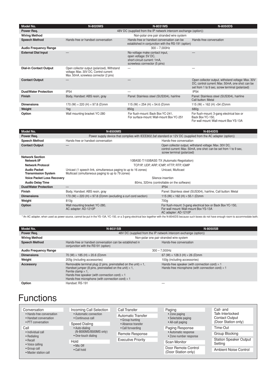| Model No.                     | <b>N-8020MS</b>                                                                                                                   | <b>N-8031MS</b>                                                                                                       | <b>N-8050DS</b>                                                                                                                                           |  |
|-------------------------------|-----------------------------------------------------------------------------------------------------------------------------------|-----------------------------------------------------------------------------------------------------------------------|-----------------------------------------------------------------------------------------------------------------------------------------------------------|--|
| Power Req.                    | 48V DC (supplied from the IP network intercom exchange (option))                                                                  |                                                                                                                       |                                                                                                                                                           |  |
| <b>Wiring Method</b>          | Non-polar one pair stranded wire system                                                                                           |                                                                                                                       |                                                                                                                                                           |  |
| <b>Speech Method</b>          | Hands-free or handset conversation                                                                                                | Hands-free or handset conversation can be<br>established in conjunction with the RS-191 (option)                      | Hands-free conversation                                                                                                                                   |  |
| <b>Audio Frequency Range</b>  |                                                                                                                                   | $300 - 7,000$ Hz                                                                                                      |                                                                                                                                                           |  |
| <b>External Dial Input</b>    |                                                                                                                                   | No-voltage make contact input,<br>open voltage: 5V DC,<br>short-circuit current: 1mA,<br>screwless connector (5 pins) |                                                                                                                                                           |  |
| <b>Dial-in Contact Output</b> | Open collector output (polarized), Withstand<br>voltage: Max. 30V DC, Control current:<br>Max. 50mA, screwless connector (2 pins) | —                                                                                                                     |                                                                                                                                                           |  |
| <b>Contact Output</b>         |                                                                                                                                   |                                                                                                                       | Open collector output, withstand voltage: Max. 30V<br>DC, control current: Max. 50mA, one shot: can be<br>set from 1 to 9 sec, screw terminal (polarized) |  |
| <b>Dust/Water Protection</b>  | IP <sub>54</sub>                                                                                                                  |                                                                                                                       | <b>IP54</b>                                                                                                                                               |  |
| <b>Finish</b>                 | Body, Handset: ABS resin, gray                                                                                                    | Panel: Stainless steel (SUS304), hairline                                                                             | Panel: Stainless steel (SUS304), hairline<br>Call button: Metal                                                                                           |  |
| <b>Dimensions</b>             | 170 (W) $\times$ 220 (H) $\times$ 97.8 (D)mm                                                                                      | 115 (W) $\times$ 254 (H) $\times$ 54.6 (D)mm                                                                          | 115 (W) $\times$ 162 (H) $\times$ 54 (D)mm                                                                                                                |  |
| Weight                        | 1kg                                                                                                                               | 850 <sub>g</sub>                                                                                                      | 680g                                                                                                                                                      |  |
| Option                        | Wall mounting bracket: YC-280                                                                                                     | For flush-mount: Back Box YC-241.<br>For surface-mount: Wall-mount Box YC-251                                         | For flush-mount: 3-gang electrical box or<br>Back Box YC-150,                                                                                             |  |

**Model No. N-8500MS N-8540DS Power Req.** Power supply device that complies with IEEE802.3af standard or 12V DC (supplied from the AC adapter (option))<br>Speech Method Hands-free or handset conversation<br>Hands-free conversation Hands-free conversation **Speech Method** Hands-free or handset conversation **Contact Output** — **Contact Output** — **Contact Output — Contact Output Control current: Max. 50mA, one shot: can be set from 1 to 9 sec,** control current: Max. 50mA, one shot: can be set from 1 to 9 sec, screw terminal (polarized) 10BASE-T/100BASE-TX (Automatic-Negotiation)

For wall mount: Wall-mount Box YS-13A

| <b>Network Section</b><br>Network I/F<br><b>Network Protocol</b> | 10BASE-T/100BASE-TX (Automatic-Negotiation)<br>TCP/IP, UDP, ARP, ICMP, HTTP, RTP, IGMP                                                    |                                                                                                                             |  |
|------------------------------------------------------------------|-------------------------------------------------------------------------------------------------------------------------------------------|-----------------------------------------------------------------------------------------------------------------------------|--|
| <b>Audio Packet</b><br><b>Transmission System</b>                | Unicast (1 speech link, simultaneous paging to up to 16 zones)<br>Unicast. Multicast<br>Multicast (simultaneous paging to up to 79 zones) |                                                                                                                             |  |
| <b>Voice Packet Loss Recovery</b>                                | Silence insertion                                                                                                                         |                                                                                                                             |  |
| <b>Audio Delay Time</b>                                          | 80ms, 320ms (controllable on the software)                                                                                                |                                                                                                                             |  |
| <b>Dust/Water Protection</b>                                     |                                                                                                                                           | IP54                                                                                                                        |  |
| <b>Finish</b>                                                    | Body, Handset: ABS resin, gray                                                                                                            | Panel: Stainless steel (SUS304), hairline, Call button: Metal                                                               |  |
| <b>Dimensions</b>                                                | 170 (W) $\times$ 220 (H) $\times$ 97.8 (D)mm (excluding a curl cord section)                                                              | 115 (W) $\times$ 162 (H) $\times$ 55.1 (D)mm                                                                                |  |
| Weight                                                           | 810g                                                                                                                                      | 700 <sub>a</sub>                                                                                                            |  |
| Option                                                           | Wall mounting bracket: YC-280,<br>AC adapter: AD-1210P                                                                                    | For flush-mount: 3-gang electrical box or Back Box YC-150,<br>For wall mount: Wall-mount Box YS-13A<br>AC adapter: AD-1210P |  |

\* An AC adapter, when used as power source, cannot be put in the YS-13A, YC-150, or a 3-gang electrical box together with the N-8540DS because such boxes do not have enough room to accommodate both.

| Model No.                    | <b>N-8031SB</b>                                                                                                                                                                                                                                                                         | <b>N-8050SB</b>                                                                                                 |  |
|------------------------------|-----------------------------------------------------------------------------------------------------------------------------------------------------------------------------------------------------------------------------------------------------------------------------------------|-----------------------------------------------------------------------------------------------------------------|--|
| Power Req.                   | 48V DC (supplied from the IP network intercom exchange (option))                                                                                                                                                                                                                        |                                                                                                                 |  |
| <b>Wiring Method</b>         | Non-polar one pair stranded wire system                                                                                                                                                                                                                                                 |                                                                                                                 |  |
| <b>Speech Method</b>         | Hands-free or handset conversation can be established in<br>conjunction with the RS191 (option)                                                                                                                                                                                         | Hands-free conversation                                                                                         |  |
| <b>Audio Frequency Range</b> | $300 - 7.000$ Hz                                                                                                                                                                                                                                                                        |                                                                                                                 |  |
| <b>Dimensions</b>            | 70 (W) $\times$ 185 (H) $\times$ 20.6 (D)mm                                                                                                                                                                                                                                             | 67 (W) $\times$ 128.3 (H) $\times$ 26 (D)mm                                                                     |  |
| Weight                       | 205g (including accessories)                                                                                                                                                                                                                                                            | 100g (including accessories)                                                                                    |  |
| <b>Accessory</b>             | Removable terminal plug (2 pins, preinstalled on the unit) $\times$ 1,<br>Handset jumper (8 pins, preinstalled on the unit) $\times$ 1,<br>Ferrite clamp $\times$ 1.<br>Hands-free speaker (with connection cord) $\times$ 1<br>Hands-free microphone (with connection cord) $\times$ 1 | Hands-free speaker (with connection cord) $\times$ 1<br>Hands-free microphone (with connection cord) $\times$ 1 |  |
| Option                       | Handset: RS-191                                                                                                                                                                                                                                                                         |                                                                                                                 |  |

## **Functions**

| Conversation                                                                                                     | Incoming Call Selection                                                                   | Call Transfer                                                      | Paging                                         | Call- and                                 |
|------------------------------------------------------------------------------------------------------------------|-------------------------------------------------------------------------------------------|--------------------------------------------------------------------|------------------------------------------------|-------------------------------------------|
| • Hands-free conversation<br>• Handset conversation<br>• PTT conversation                                        | • Automatic connection<br>• Continuous call                                               | <b>Automatic Transfer</b><br>• Group hunting<br>• Absence transfer | • Zone paging<br>• Selectable paging           | Talk-Interlocked<br><b>Contact Output</b> |
|                                                                                                                  | <b>Speed Dialing</b>                                                                      |                                                                    | • All-call paging                              | (Door Station only)                       |
| Call                                                                                                             | • Auto-dialing                                                                            | • Call forwarding                                                  | Paging Response                                | Time-Out                                  |
| • Individual call<br>• Redialing<br>$\bullet$ Recall<br>• Voice calling<br>• Group call<br>• Master station call | (N-8000MS/8500MS only)<br>• One-touch dialing<br>Hold<br>$\bullet$ Mic Off<br>• Call hold | Remote Response                                                    | • Automatic response<br>• Zone number response | Group Blocking                            |
|                                                                                                                  |                                                                                           | <b>Executive Priority</b>                                          |                                                | <b>Station Speaker Output</b><br>Setting  |
|                                                                                                                  |                                                                                           |                                                                    | Scan Monitor                                   |                                           |
|                                                                                                                  |                                                                                           |                                                                    | Door Remote Control<br>(Door Station only)     | <b>Ambient Noise Control</b>              |
|                                                                                                                  |                                                                                           |                                                                    |                                                |                                           |